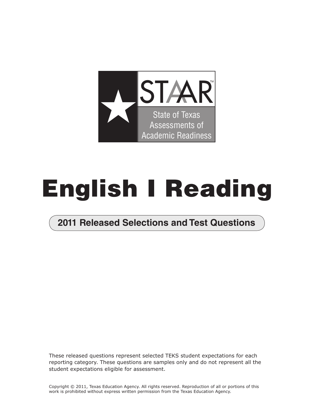

# **English I Reading**

## **2011 Released Selections and Test Questions**

These released questions represent selected TEKS student expectations for each reporting category. These questions are samples only and do not represent all the student expectations eligible for assessment.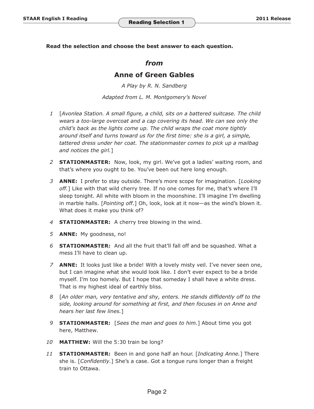**Read the selection and choose the best answer to each question.** 

#### *from*

#### **Anne of Green Gables**

*A Play by R. N. Sandberg Adapted from L. M. Montgomery's Novel*

- *1*  [*Avonlea Station. A small figure, a child, sits on a battered suitcase. The child wears a too-large overcoat and a cap covering its head. We can see only the child's back as the lights come up. The child wraps the coat more tightly around itself and turns toward us for the first time: she is a girl, a simple, tattered dress under her coat. The stationmaster comes to pick up a mailbag and notices the girl.*]
- *2* **STATIONMASTER:** Now, look, my girl. We've got a ladies' waiting room, and that's where you ought to be. You've been out here long enough.
- *3* **ANNE:** I prefer to stay outside. There's more scope for imagination. [*Looking off.*] Like with that wild cherry tree. If no one comes for me, that's where I'll sleep tonight. All white with bloom in the moonshine. I'll imagine I'm dwelling in marble halls. [*Pointing off.*] Oh, look, look at it now—as the wind's blown it. What does it make you think of?
- *4*  **STATIONMASTER:** A cherry tree blowing in the wind.
- *5*  **ANNE:** My goodness, no!
- *6* **STATIONMASTER:** And all the fruit that'll fall off and be squashed. What a mess I'll have to clean up.
- *7* **ANNE:** It looks just like a bride! With a lovely misty veil. I've never seen one, but I can imagine what she would look like. I don't ever expect to be a bride myself. I'm too homely. But I hope that someday I shall have a white dress. That is my highest ideal of earthly bliss.
- *8*  [*An older man, very tentative and shy, enters. He stands diffidently off to the side, looking around for something at first, and then focuses in on Anne and hears her last few lines.*]
- *9* **STATIONMASTER:** [*Sees the man and goes to him.*] About time you got here, Matthew.
- *10* **MATTHEW:** Will the 5:30 train be long?
- *11* **STATIONMASTER:** Been in and gone half an hour. [*Indicating Anne.*] There she is. [*Confidently.*] She's a case. Got a tongue runs longer than a freight train to Ottawa.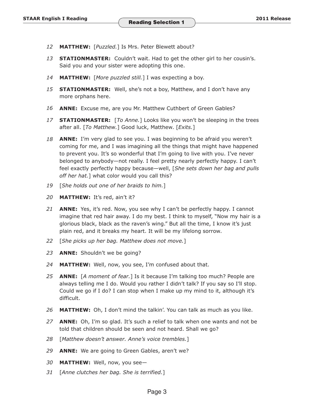- *12* **MATTHEW:** [*Puzzled.*] Is Mrs. Peter Blewett about?
- *13* **STATIONMASTER:** Couldn't wait. Had to get the other girl to her cousin's. Said you and your sister were adopting this one.
- *14* **MATTHEW:** [*More puzzled still.*] I was expecting a boy.
- *15* **STATIONMASTER:**  Well, she's not a boy, Matthew, and I don't have any more orphans here.
- *16* **ANNE:** Excuse me, are you Mr. Matthew Cuthbert of Green Gables?
- *17* **STATIONMASTER:** [*To Anne.*] Looks like you won't be sleeping in the trees after all. [*To Matthew.*] Good luck, Matthew. [*Exits.*]
- *18* **ANNE:** I'm very glad to see you. I was beginning to be afraid you weren't coming for me, and I was imagining all the things that might have happened to prevent you. It's so wonderful that I'm going to live with you. I've never belonged to anybody—not really. I feel pretty nearly perfectly happy. I can't feel exactly perfectly happy because—well, [*She sets down her bag and pulls off her hat.*] what color would you call this?
- *19* [*She holds out one of her braids to him.*]
- *20* **MATTHEW:** It's red, ain't it?
- *21* **ANNE:** Yes, it's red. Now, you see why I can't be perfectly happy. I cannot imagine that red hair away. I do my best. I think to myself, "Now my hair is a glorious black, black as the raven's wing." But all the time, I know it's just plain red, and it breaks my heart. It will be my lifelong sorrow.
- *22* [*She picks up her bag. Matthew does not move.*]
- *23* **ANNE:** Shouldn't we be going?
- *24* **MATTHEW:** Well, now, you see, I'm confused about that.
- *25* **ANNE:** [*A moment of fear.*] Is it because I'm talking too much? People are always telling me I do. Would you rather I didn't talk? If you say so I'll stop. Could we go if I do? I can stop when I make up my mind to it, although it's difficult.
- *26* **MATTHEW:** Oh, I don't mind the talkin'. You can talk as much as you like.
- *27* **ANNE:** Oh, I'm so glad. It's such a relief to talk when one wants and not be told that children should be seen and not heard. Shall we go?
- *28* [*Matthew doesn't answer. Anne's voice trembles.*]
- *29* **ANNE:** We are going to Green Gables, aren't we?
- *30* **MATTHEW:** Well, now, you see—
- *31* [*Anne clutches her bag. She is terrified.*]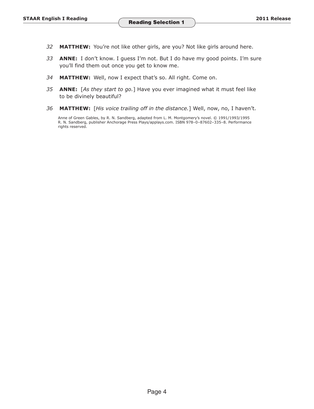- *32* **MATTHEW:** You're not like other girls, are you? Not like girls around here.
- *33* **ANNE:** I don't know. I guess I'm not. But I do have my good points. I'm sure you'll find them out once you get to know me.
- *34* **MATTHEW:** Well, now I expect that's so. All right. Come on.
- *35* **ANNE:** [*As they start to go.*] Have you ever imagined what it must feel like to be divinely beautiful?
- *36* **MATTHEW:** [*His voice trailing off in the distance.*] Well, now, no, I haven't.

Anne of Green Gables, by R. N. Sandberg, adapted from L. M. Montgomery's novel. © 1991/1993/1995 R. N. Sandberg, publisher Anchorage Press Plays/applays.com. ISBN 978–0–87602–335–8. Performance rights reserved.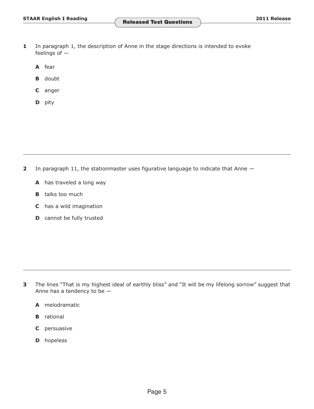- **1** In paragraph 1, the description of Anne in the stage directions is intended to evoke feelings of —
	- **A** fear
	- **B** doubt
	- **C** anger
	- **D** pity

**2** In paragraph 11, the stationmaster uses figurative language to indicate that Anne  $-$ 

- **A** has traveled a long way
- **B** talks too much
- **C** has a wild imagination
- **D** cannot be fully trusted

- **3** The lines "That is my highest ideal of earthly bliss" and "It will be my lifelong sorrow" suggest that Anne has a tendency to be —
	- **A** melodramatic
	- **B** rational
	- **C** persuasive
	- **D** hopeless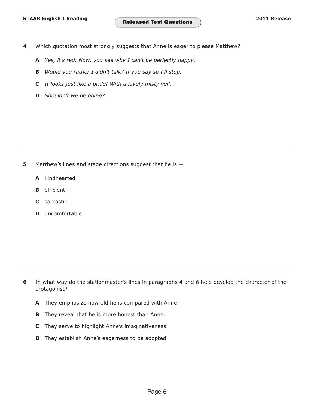- **4** Which quotation most strongly suggests that Anne is eager to please Matthew?
	- **A** *Yes, it's red. Now, you see why I can't be perfectly happy.*
	- **B** *Would you rather I didn't talk? If you say so I'll stop.*
	- **C** *It looks just like a bride! With a lovely misty veil.*
	- **D** *Shouldn't we be going?*

- **5** Matthew's lines and stage directions suggest that he is  $-$ 
	- **A** kindhearted
	- **B** efficient
	- **C** sarcastic
	- **D** uncomfortable

- **6** In what way do the stationmaster's lines in paragraphs 4 and 6 help develop the character of the protagonist?
	- **A** They emphasize how old he is compared with Anne.
	- **B** They reveal that he is more honest than Anne.
	- **C** They serve to highlight Anne's imaginativeness.
	- **D** They establish Anne's eagerness to be adopted.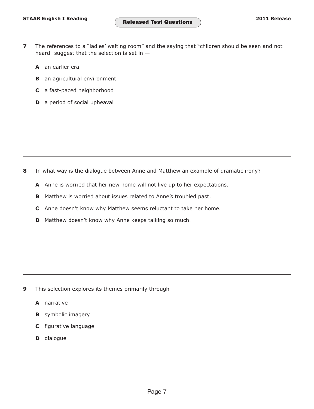- **7** The references to a "ladies' waiting room" and the saying that "children should be seen and not heard" suggest that the selection is set in  $-$ 
	- **A** an earlier era
	- **B** an agricultural environment
	- **C** a fast-paced neighborhood
	- **D** a period of social upheaval

- **8**  In what way is the dialogue between Anne and Matthew an example of dramatic irony?
	- **A** Anne is worried that her new home will not live up to her expectations.
	- **B** Matthew is worried about issues related to Anne's troubled past.
	- **C** Anne doesn't know why Matthew seems reluctant to take her home.
	- **D** Matthew doesn't know why Anne keeps talking so much.

- **9** This selection explores its themes primarily through  $-$ 
	- **A** narrative
	- **B** symbolic imagery
	- **C** figurative language
	- **D** dialogue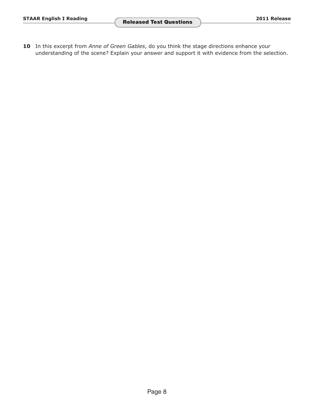10 In this excerpt from Anne of Green Gables, do you think the stage directions enhance your understanding of the scene? Explain your answer and support it with evidence from the selection.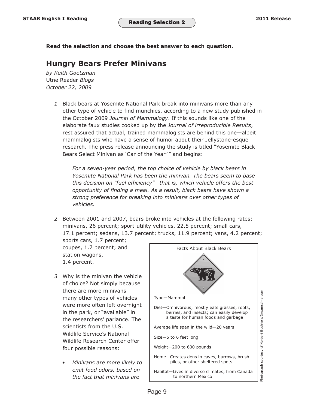**Read the selection and choose the best answer to each question.** 

### **Hungry Bears Prefer Minivans**

*by Keith Goetzman*  Utne Reader *Blogs October 22, 2009*

> 1 Black bears at Yosemite National Park break into minivans more than any other type of vehicle to find munchies, according to a new study published in the October 2009 *Journal of Mammalogy*. If this sounds like one of the elaborate faux studies cooked up by the *Journal of lrreproducible Results*, rest assured that actual, trained mammalogists are behind this one—albeit mammalogists who have a sense of humor about their Jellystone-esque research. The press release announcing the study is titled "Yosemite Black Bears Select Minivan as 'Car of the Year'" and begins:

*For a seven-year period, the top choice of vehicle by black bears in Yosemite National Park has been the minivan. The bears seem to base this decision on "fuel efficiency"—that is, which vehicle offers the best opportunity of finding a meal. As a result, black bears have shown a strong preference for breaking into minivans over other types of vehicles.*

 *2* Between 2001 and 2007, bears broke into vehicles at the following rates: minivans, 26 percent; sport-utility vehicles, 22.5 percent; small cars, 17.1 percent; sedans, 13.7 percent; trucks, 11.9 percent; vans, 4.2 percent;

sports cars, 1.7 percent; coupes, 1.7 percent; and station wagons, 1.4 percent.

- 3 Why is the minivan the vehicle of choice? Not simply because there are more minivans many other types of vehicles were more often left overnight in the park, or "available" in the researchers' parlance. The scientists from the U.S. Wildlife Service's National Wildlife Research Center offer four possible reasons:
	- *Minivans are more likely to emit food odors, based on the fact that minivans are*

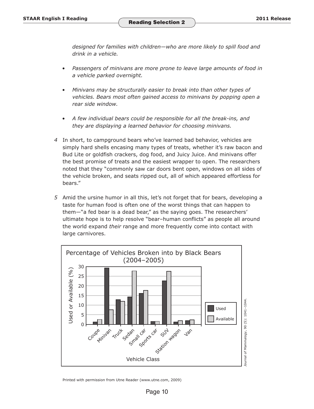*designed for families with children—who are more likely to spill food and drink in a vehicle.* 

- *Passengers of minivans are more prone to leave large amounts of food in a vehicle parked overnight.*
- *Minivans may be structurally easier to break into than other types of vehicles. Bears most often gained access to minivans by popping open a rear side window.*
- *A few individual bears could be responsible for all the break-ins, and they are displaying a learned behavior for choosing minivans.*
- *4* In short, to campground bears who've learned bad behavior, vehicles are simply hard shells encasing many types of treats, whether it's raw bacon and Bud Lite or goldfish crackers, dog food, and Juicy Juice. And minivans offer the best promise of treats and the easiest wrapper to open. The researchers noted that they "commonly saw car doors bent open, windows on all sides of the vehicle broken, and seats ripped out, all of which appeared effortless for bears."
- 5 Amid the ursine humor in all this, let's not forget that for bears, developing a taste for human food is often one of the worst things that can happen to them—"a fed bear is a dead bear," as the saying goes. The researchers' ultimate hope is to help resolve "bear–human conflicts" as people all around the world expand *their* range and more frequently come into contact with large carnivores.



Printed with permission from Utne Reader (www.utne.com, 2009)

Page 10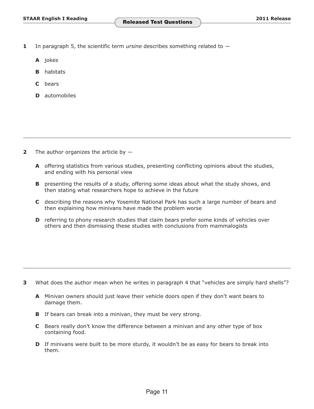- **1** In paragraph 5, the scientific term *ursine* describes something related to
	- **A** jokes
	- **B** habitats
	- **C** bears
	- **D** automobiles

- **2** The author organizes the article by  $-$ 
	- **A** offering statistics from various studies, presenting conflicting opinions about the studies, and ending with his personal view
	- **B** presenting the results of a study, offering some ideas about what the study shows, and then stating what researchers hope to achieve in the future
	- **C** describing the reasons why Yosemite National Park has such a large number of bears and then explaining how minivans have made the problem worse
	- **D** referring to phony research studies that claim bears prefer some kinds of vehicles over others and then dismissing these studies with conclusions from mammalogists

- **3** What does the author mean when he writes in paragraph 4 that "vehicles are simply hard shells"?
	- **A** Minivan owners should just leave their vehicle doors open if they don't want bears to damage them.
	- **B** If bears can break into a minivan, they must be very strong.
	- **C** Bears really don't know the difference between a minivan and any other type of box containing food.
	- **D** If minivans were built to be more sturdy, it wouldn't be as easy for bears to break into them.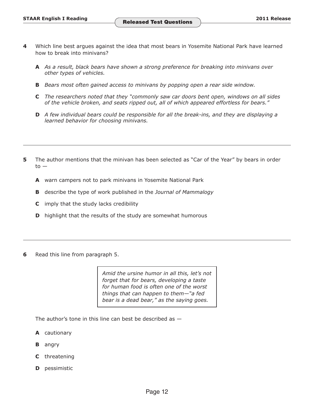- **4**  Which line best argues against the idea that most bears in Yosemite National Park have learned how to break into minivans?
	- **A** *As a result, black bears have shown a strong preference for breaking into minivans over other types of vehicles.*
	- **B** Bears most often gained access to minivans by popping open a rear side window.
	- **C** *The researchers noted that they "commonly saw car doors bent open, windows on all sides of the vehicle broken, and seats ripped out, all of which appeared effortless for bears."*
	- **D** *A few individual bears could be responsible for all the break-ins, and they are displaying a learned behavior for choosing minivans.*
- **5** The author mentions that the minivan has been selected as "Car of the Year" by bears in order  $to -$ 
	- **A** warn campers not to park minivans in Yosemite National Park
	- **B** describe the type of work published in the *Journal of Mammalogy*
	- **C** imply that the study lacks credibility
	- **D** highlight that the results of the study are somewhat humorous
- **6**  Read this line from paragraph 5.

*Amid the ursine humor in all this, let's not forget that for bears, developing a taste for human food is often one of the worst things that can happen to them—"a fed bear is a dead bear," as the saying goes.* 

The author's tone in this line can best be described as  $-$ 

- **A** cautionary
- **B** angry
- **C** threatening
- **D** pessimistic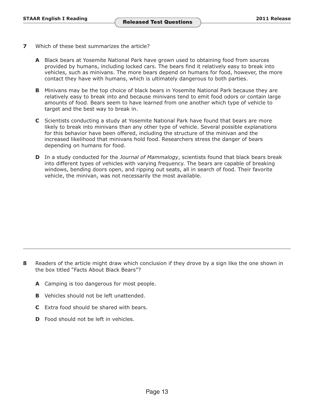- **7**  Which of these best summarizes the article?
	- **A** Black bears at Yosemite National Park have grown used to obtaining food from sources provided by humans, including locked cars. The bears find it relatively easy to break into vehicles, such as minivans. The more bears depend on humans for food, however, the more contact they have with humans, which is ultimately dangerous to both parties.
	- **B** Minivans may be the top choice of black bears in Yosemite National Park because they are relatively easy to break into and because minivans tend to emit food odors or contain large amounts of food. Bears seem to have learned from one another which type of vehicle to target and the best way to break in.
	- **C** Scientists conducting a study at Yosemite National Park have found that bears are more likely to break into minivans than any other type of vehicle. Several possible explanations for this behavior have been offered, including the structure of the minivan and the increased likelihood that minivans hold food. Researchers stress the danger of bears depending on humans for food.
	- **D** In a study conducted for the *Journal of Mammalogy*, scientists found that black bears break into different types of vehicles with varying frequency. The bears are capable of breaking windows, bending doors open, and ripping out seats, all in search of food. Their favorite vehicle, the minivan, was not necessarily the most available.

- **8** Readers of the article might draw which conclusion if they drove by a sign like the one shown in the box titled "Facts About Black Bears"?
	- **A** Camping is too dangerous for most people.
	- **B** Vehicles should not be left unattended.
	- **C** Extra food should be shared with bears.
	- **D** Food should not be left in vehicles.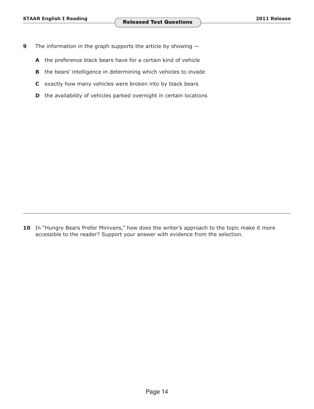- **9** The information in the graph supports the article by showing  $-$ 
	- **A** the preference black bears have for a certain kind of vehicle
	- **B** the bears' intelligence in determining which vehicles to invade
	- **C** exactly how many vehicles were broken into by black bears
	- **D** the availability of vehicles parked overnight in certain locations

10 In "Hungry Bears Prefer Minivans," how does the writer's approach to the topic make it more accessible to the reader? Support your answer with evidence from the selection.